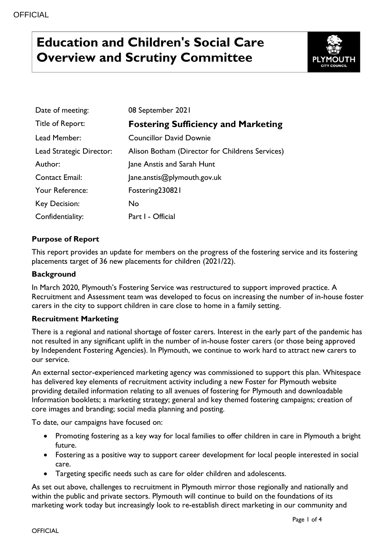# **Education and Children's Social Care Overview and Scrutiny Committee**



| Date of meeting:         | 08 September 2021                               |
|--------------------------|-------------------------------------------------|
| Title of Report:         | <b>Fostering Sufficiency and Marketing</b>      |
| Lead Member:             | <b>Councillor David Downie</b>                  |
| Lead Strategic Director: | Alison Botham (Director for Childrens Services) |
| Author:                  | Jane Anstis and Sarah Hunt                      |
| <b>Contact Email:</b>    | Jane.anstis@plymouth.gov.uk                     |
| Your Reference:          | Fostering230821                                 |
| Key Decision:            | No.                                             |
| Confidentiality:         | Part I - Official                               |

# **Purpose of Report**

This report provides an update for members on the progress of the fostering service and its fostering placements target of 36 new placements for children (2021/22).

### **Background**

In March 2020, Plymouth's Fostering Service was restructured to support improved practice. A Recruitment and Assessment team was developed to focus on increasing the number of in-house foster carers in the city to support children in care close to home in a family setting.

# **Recruitment Marketing**

There is a regional and national shortage of foster carers. Interest in the early part of the pandemic has not resulted in any significant uplift in the number of in-house foster carers (or those being approved by Independent Fostering Agencies). In Plymouth, we continue to work hard to attract new carers to our service.

An external sector-experienced marketing agency was commissioned to support this plan. Whitespace has delivered key elements of recruitment activity including a new Foster for Plymouth website providing detailed information relating to all avenues of fostering for Plymouth and downloadable Information booklets; a marketing strategy; general and key themed fostering campaigns; creation of core images and branding; social media planning and posting.

To date, our campaigns have focused on:

- Promoting fostering as a key way for local families to offer children in care in Plymouth a bright future.
- Fostering as a positive way to support career development for local people interested in social care.
- Targeting specific needs such as care for older children and adolescents.

As set out above, challenges to recruitment in Plymouth mirror those regionally and nationally and within the public and private sectors. Plymouth will continue to build on the foundations of its marketing work today but increasingly look to re-establish direct marketing in our community and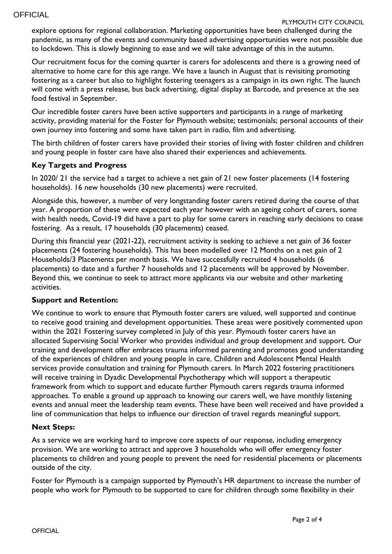#### PLYMOUTH CITY COUNCIL

explore options for regional collaboration. Marketing opportunities have been challenged during the pandemic, as many of the events and community based advertising opportunities were not possible due to lockdown. This is slowly beginning to ease and we will take advantage of this in the autumn.

Our recruitment focus for the coming quarter is carers for adolescents and there is a growing need of alternative to home care for this age range. We have a launch in August that is revisiting promoting fostering as a career but also to highlight fostering teenagers as a campaign in its own right. The launch will come with a press release, bus back advertising, digital display at Barcode, and presence at the sea food festival in September.

Our incredible foster carers have been active supporters and participants in a range of marketing activity, providing material for the Foster for Plymouth website; testimonials; personal accounts of their own journey into fostering and some have taken part in radio, film and advertising.

The birth children of foster carers have provided their stories of living with foster children and children and young people in foster care have also shared their experiences and achievements.

#### **Key Targets and Progress**

In 2020/ 21 the service had a target to achieve a net gain of 21 new foster placements (14 fostering households). 16 new households (30 new placements) were recruited.

Alongside this, however, a number of very longstanding foster carers retired during the course of that year. A proportion of these were expected each year however with an ageing cohort of carers, some with health needs, Covid-19 did have a part to play for some carers in reaching early decisions to cease fostering. As a result, 17 households (30 placements) ceased.

During this financial year (2021-22), recruitment activity is seeking to achieve a net gain of 36 foster placements (24 fostering households). This has been modelled over 12 Months on a net gain of 2 Households/3 Placements per month basis. We have successfully recruited 4 households (6 placements) to date and a further 7 households and 12 placements will be approved by November. Beyond this, we continue to seek to attract more applicants via our website and other marketing activities.

#### **Support and Retention:**

We continue to work to ensure that Plymouth foster carers are valued, well supported and continue to receive good training and development opportunities. These areas were positively commented upon within the 2021 Fostering survey completed in July of this year. Plymouth foster carers have an allocated Supervising Social Worker who provides individual and group development and support. Our training and development offer embraces trauma informed parenting and promotes good understanding of the experiences of children and young people in care. Children and Adolescent Mental Health services provide consultation and training for Plymouth carers. In March 2022 fostering practitioners will receive training in Dyadic Developmental Psychotherapy which will support a therapeutic framework from which to support and educate further Plymouth carers regards trauma informed approaches. To enable a ground up approach to knowing our carers well, we have monthly listening events and annual meet the leadership team events. These have been well received and have provided a line of communication that helps to influence our direction of travel regards meaningful support.

#### **Next Steps:**

As a service we are working hard to improve core aspects of our response, including emergency provision. We are working to attract and approve 3 households who will offer emergency foster placements to children and young people to prevent the need for residential placements or placements outside of the city.

Foster for Plymouth is a campaign supported by Plymouth's HR department to increase the number of people who work for Plymouth to be supported to care for children through some flexibility in their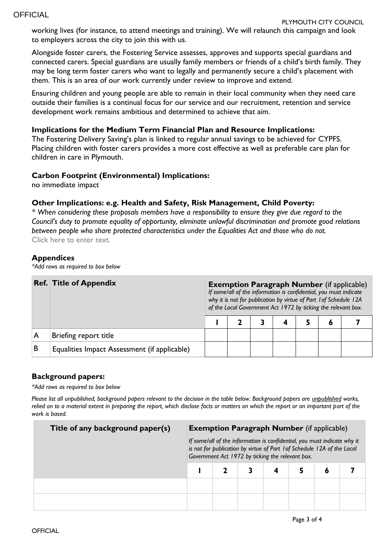working lives (for instance, to attend meetings and training). We will relaunch this campaign and look to employers across the city to join this with us.

Alongside foster carers, the Fostering Service assesses, approves and supports special guardians and connected carers. Special guardians are usually family members or friends of a child's birth family. They may be long term foster carers who want to legally and permanently secure a child's placement with them. This is an area of our work currently under review to improve and extend.

Ensuring children and young people are able to remain in their local community when they need care outside their families is a continual focus for our service and our recruitment, retention and service development work remains ambitious and determined to achieve that aim.

#### **Implications for the Medium Term Financial Plan and Resource Implications:**

The Fostering Delivery Saving's plan is linked to regular annual savings to be achieved for CYPFS. Placing children with foster carers provides a more cost effective as well as preferable care plan for children in care in Plymouth.

#### **Carbon Footprint (Environmental) Implications:**

no immediate impact

#### **Other Implications: e.g. Health and Safety, Risk Management, Child Poverty:**

*\* When considering these proposals members have a responsibility to ensure they give due regard to the Council's duty to promote equality of opportunity, eliminate unlawful discrimination and promote good relations between people who share protected characteristics under the Equalities Act and those who do not.* Click here to enter text.

#### **Appendices**

*\*Add rows as required to box below*

|   | <b>Ref. Title of Appendix</b>                | <b>Exemption Paragraph Number</b> (if applicable)<br>If some/all of the information is confidential, you must indicate<br>why it is not for publication by virtue of Part 1 of Schedule 12A<br>of the Local Government Act 1972 by ticking the relevant box. |  |  |  |  |   |  |  |  |
|---|----------------------------------------------|--------------------------------------------------------------------------------------------------------------------------------------------------------------------------------------------------------------------------------------------------------------|--|--|--|--|---|--|--|--|
|   |                                              |                                                                                                                                                                                                                                                              |  |  |  |  | 6 |  |  |  |
|   | Briefing report title                        |                                                                                                                                                                                                                                                              |  |  |  |  |   |  |  |  |
| B | Equalities Impact Assessment (if applicable) |                                                                                                                                                                                                                                                              |  |  |  |  |   |  |  |  |

#### **Background papers:**

*\*Add rows as required to box below*

*Please list all unpublished, background papers relevant to the decision in the table below. Background papers are unpublished works, relied on to a material extent in preparing the report, which disclose facts or matters on which the report or an important part of the work is based.*

| Title of any background paper(s) |                                                                                                                                                                                                         | <b>Exemption Paragraph Number</b> (if applicable) |  |  |  |   |  |  |  |  |
|----------------------------------|---------------------------------------------------------------------------------------------------------------------------------------------------------------------------------------------------------|---------------------------------------------------|--|--|--|---|--|--|--|--|
|                                  | If some/all of the information is confidential, you must indicate why it<br>is not for publication by virtue of Part 1 of Schedule 12A of the Local<br>Government Act 1972 by ticking the relevant box. |                                                   |  |  |  |   |  |  |  |  |
|                                  |                                                                                                                                                                                                         |                                                   |  |  |  | Õ |  |  |  |  |
|                                  |                                                                                                                                                                                                         |                                                   |  |  |  |   |  |  |  |  |
|                                  |                                                                                                                                                                                                         |                                                   |  |  |  |   |  |  |  |  |